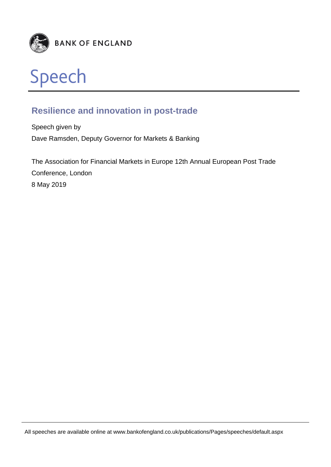



# **Resilience and innovation in post-trade**

Speech given by Dave Ramsden, Deputy Governor for Markets & Banking

The Association for Financial Markets in Europe 12th Annual European Post Trade Conference, London 8 May 2019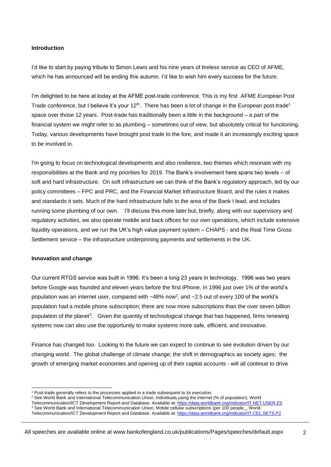## **Introduction**

I'd like to start by paying tribute to Simon Lewis and his nine years of tireless service as CEO of AFME, which he has announced will be ending this autumn. I'd like to wish him every success for the future.

I'm delighted to be here at today at the AFME post-trade conference. This is my first AFME European Post Trade conference, but I believe it's your 12<sup>th</sup>. There has been a lot of change in the European post-trade<sup>1</sup> space over those 12 years. Post-trade has traditionally been a little in the background – a part of the financial system we might refer to as plumbing – sometimes out of view, but absolutely critical for functioning. Today, various developments have brought post trade to the fore, and made it an increasingly exciting space to be involved in.

I'm going to focus on technological developments and also resilience, two themes which resonate with my responsibilities at the Bank and my priorities for 2019. The Bank's involvement here spans two levels – of soft and hard infrastructure. On soft infrastructure we can think of the Bank's regulatory approach, led by our policy committees – FPC and PRC, and the Financial Market Infrastructure Board, and the rules it makes and standards it sets. Much of the hard infrastructure falls to the area of the Bank I lead, and includes running some plumbing of our own. I'll discuss this more later but, briefly, along with our supervisory and regulatory activities, we also operate middle and back offices for our own operations, which include extensive liquidity operations, and we run the UK's high value payment system – CHAPS - and the Real Time Gross Settlement service – the infrastructure underpinning payments and settlements in the UK.

#### **Innovation and change**

l

Our current RTGS service was built in 1996. It's been a long 23 years in technology. 1996 was two years before Google was founded and eleven years before the first iPhone. In 1996 just over 1% of the world's population was an internet user, compared with  $~18\%$  now<sup>2</sup>, and  $~2.5$  out of every 100 of the world's population had a mobile phone subscription; there are now more subscriptions than the over seven billion population of the planet<sup>3</sup>. Given the quantity of technological change that has happened, firms renewing systems now can also use the opportunity to make systems more safe, efficient, and innovative.

Finance has changed too. Looking to the future we can expect to continue to see evolution driven by our changing world. The global challenge of climate change; the shift in demographics as society ages; the growth of emerging market economies and opening up of their capital accounts - will all continue to drive

<sup>1</sup> Post-trade generally refers to the processes applied to a trade subsequent to its execution.

<sup>&</sup>lt;sup>2</sup> See World Bank and International Telecommunication Union, Individuals using the internet (% of population), World

Telecommunication/ICT Development Report and Database. Available at:<https://data.worldbank.org/indicator/IT.NET.USER.ZS>

<sup>&</sup>lt;sup>3</sup> See World Bank and International Telecommunication Union, Mobile cellular subscriptions (per 100 people, World

Telecommunication/ICT Development Report and Database. Available at:<https://data.worldbank.org/indicator/IT.CEL.SETS.P2>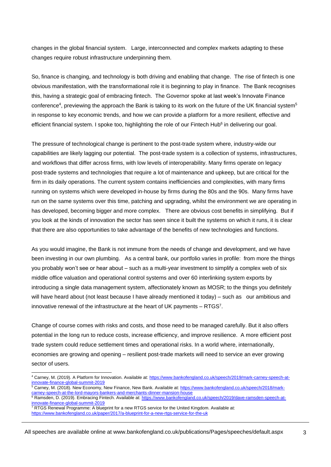changes in the global financial system. Large, interconnected and complex markets adapting to these changes require robust infrastructure underpinning them.

So, finance is changing, and technology is both driving and enabling that change. The rise of fintech is one obvious manifestation, with the transformational role it is beginning to play in finance. The Bank recognises this, having a strategic goal of embracing fintech. The Governor spoke at last week's Innovate Finance conference<sup>4</sup>, previewing the approach the Bank is taking to its work on the future of the UK financial system<sup>5</sup> in response to key economic trends, and how we can provide a platform for a more resilient, effective and efficient financial system. I spoke too, highlighting the role of our Fintech Hub<sup>6</sup> in delivering our goal.

The pressure of technological change is pertinent to the post-trade system where, industry-wide our capabilities are likely lagging our potential. The post-trade system is a collection of systems, infrastructures, and workflows that differ across firms, with low levels of interoperability. Many firms operate on legacy post-trade systems and technologies that require a lot of maintenance and upkeep, but are critical for the firm in its daily operations. The current system contains inefficiencies and complexities, with many firms running on systems which were developed in-house by firms during the 80s and the 90s. Many firms have run on the same systems over this time, patching and upgrading, whilst the environment we are operating in has developed, becoming bigger and more complex. There are obvious cost benefits in simplifying. But if you look at the kinds of innovation the sector has seen since it built the systems on which it runs, it is clear that there are also opportunities to take advantage of the benefits of new technologies and functions.

As you would imagine, the Bank is not immune from the needs of change and development, and we have been investing in our own plumbing. As a central bank, our portfolio varies in profile: from more the things you probably won't see or hear about – such as a multi-year investment to simplify a complex web of six middle office valuation and operational control systems and over 60 interlinking system exports by introducing a single data management system, affectionately known as MOSR; to the things you definitely will have heard about (not least because I have already mentioned it today) – such as our ambitious and innovative renewal of the infrastructure at the heart of UK payments  $-$  RTGS<sup>7</sup>.

Change of course comes with risks and costs, and those need to be managed carefully. But it also offers potential in the long run to reduce costs, increase efficiency, and improve resilience. A more efficient post trade system could reduce settlement times and operational risks. In a world where, internationally, economies are growing and opening – resilient post-trade markets will need to service an ever growing sector of users.

l

<sup>4</sup> Carney, M. (2019). A Platform for Innovation. Available at: [https://www.bankofengland.co.uk/speech/2019/mark-carney-speech-at](https://www.bankofengland.co.uk/speech/2019/mark-carney-speech-at-innovate-finance-global-summit-2019)[innovate-finance-global-summit-2019](https://www.bankofengland.co.uk/speech/2019/mark-carney-speech-at-innovate-finance-global-summit-2019)

<sup>&</sup>lt;sup>5</sup> Carney, M. (2018). New Economy, New Finance, New Bank. Available at[: https://www.bankofengland.co.uk/speech/2018/mark](https://www.bankofengland.co.uk/speech/2018/mark-carney-speech-at-the-lord-mayors-bankers-and-merchants-dinner-mansion-house)[carney-speech-at-the-lord-mayors-bankers-and-merchants-dinner-mansion-house](https://www.bankofengland.co.uk/speech/2018/mark-carney-speech-at-the-lord-mayors-bankers-and-merchants-dinner-mansion-house)

<sup>6</sup> Ramsden, D. (2019). Embracing Fintech. Available at: [https://www.bankofengland.co.uk/speech/2019/dave-ramsden-speech-at](https://www.bankofengland.co.uk/speech/2019/dave-ramsden-speech-at-innovate-finance-global-summit-2019)[innovate-finance-global-summit-2019](https://www.bankofengland.co.uk/speech/2019/dave-ramsden-speech-at-innovate-finance-global-summit-2019) <sup>7</sup> RTGS Renewal Programme: A blueprint for a new RTGS service for the United Kingdom. Available at:

<https://www.bankofengland.co.uk/paper/2017/a-blueprint-for-a-new-rtgs-service-for-the-uk>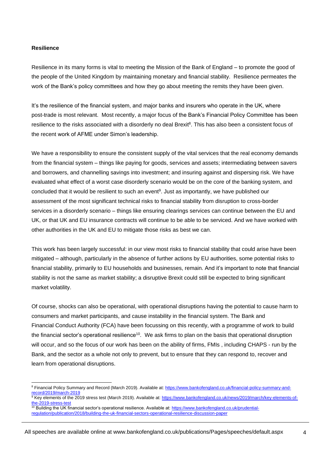### **Resilience**

l

Resilience in its many forms is vital to meeting the Mission of the Bank of England – to promote the good of the people of the United Kingdom by maintaining monetary and financial stability. Resilience permeates the work of the Bank's policy committees and how they go about meeting the remits they have been given.

It's the resilience of the financial system, and major banks and insurers who operate in the UK, where post-trade is most relevant. Most recently, a major focus of the Bank's Financial Policy Committee has been resilience to the risks associated with a disorderly no deal Brexit<sup>8</sup>. This has also been a consistent focus of the recent work of AFME under Simon's leadership.

We have a responsibility to ensure the consistent supply of the vital services that the real economy demands from the financial system – things like paying for goods, services and assets; intermediating between savers and borrowers, and channelling savings into investment; and insuring against and dispersing risk. We have evaluated what effect of a worst case disorderly scenario would be on the core of the banking system, and concluded that it would be resilient to such an event<sup>9</sup>. Just as importantly, we have published our assessment of the most significant technical risks to financial stability from disruption to cross-border services in a disorderly scenario – things like ensuring clearings services can continue between the EU and UK, or that UK and EU insurance contracts will continue to be able to be serviced. And we have worked with other authorities in the UK and EU to mitigate those risks as best we can.

This work has been largely successful: in our view most risks to financial stability that could arise have been mitigated – although, particularly in the absence of further actions by EU authorities, some potential risks to financial stability, primarily to EU households and businesses, remain. And it's important to note that financial stability is not the same as market stability; a disruptive Brexit could still be expected to bring significant market volatility.

Of course, shocks can also be operational, with operational disruptions having the potential to cause harm to consumers and market participants, and cause instability in the financial system. The Bank and Financial Conduct Authority (FCA) have been focussing on this recently, with a programme of work to build the financial sector's operational resilience<sup>10</sup>. We ask firms to plan on the basis that operational disruption will occur, and so the focus of our work has been on the ability of firms, FMIs , including CHAPS - run by the Bank, and the sector as a whole not only to prevent, but to ensure that they can respond to, recover and learn from operational disruptions.

<sup>&</sup>lt;sup>8</sup> Financial Policy Summary and Record (March 2019). Available at: [https://www.bankofengland.co.uk/financial-policy-summary-and](https://www.bankofengland.co.uk/financial-policy-summary-and-record/2019/march-2019)[record/2019/march-2019](https://www.bankofengland.co.uk/financial-policy-summary-and-record/2019/march-2019)

<sup>9</sup> Key elements of the 2019 stress test (March 2019). Available at: [https://www.bankofengland.co.uk/news/2019/march/key-elements-of](https://www.bankofengland.co.uk/news/2019/march/key-elements-of-the-2019-stress-test)[the-2019-stress-test](https://www.bankofengland.co.uk/news/2019/march/key-elements-of-the-2019-stress-test) <sup>10</sup> Building the UK financial sector's operational resilience. Available at: [https://www.bankofengland.co.uk/prudential-](https://www.bankofengland.co.uk/prudential-regulation/publication/2018/building-the-uk-financial-sectors-operational-resilience-discussion-paper)

[regulation/publication/2018/building-the-uk-financial-sectors-operational-resilience-discussion-paper](https://www.bankofengland.co.uk/prudential-regulation/publication/2018/building-the-uk-financial-sectors-operational-resilience-discussion-paper)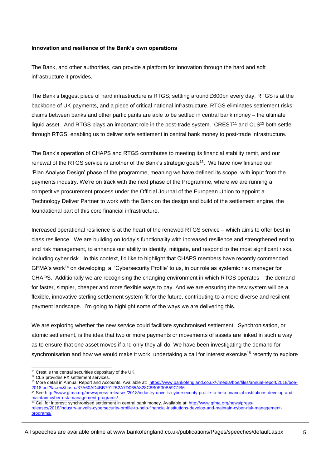## **Innovation and resilience of the Bank's own operations**

The Bank, and other authorities, can provide a platform for innovation through the hard and soft infrastructure it provides.

The Bank's biggest piece of hard infrastructure is RTGS; settling around £600bn every day, RTGS is at the backbone of UK payments, and a piece of critical national infrastructure. RTGS eliminates settlement risks; claims between banks and other participants are able to be settled in central bank money – the ultimate liquid asset. And RTGS plays an important role in the post-trade system.  $CREST<sup>11</sup>$  and  $CLS<sup>12</sup>$  both settle through RTGS, enabling us to deliver safe settlement in central bank money to post-trade infrastructure.

The Bank's operation of CHAPS and RTGS contributes to meeting its financial stability remit, and our renewal of the RTGS service is another of the Bank's strategic goals<sup>13</sup>. We have now finished our 'Plan Analyse Design' phase of the programme, meaning we have defined its scope, with input from the payments industry. We're on track with the next phase of the Programme, where we are running a competitive procurement process under the Official Journal of the European Union to appoint a Technology Deliver Partner to work with the Bank on the design and build of the settlement engine, the foundational part of this core financial infrastructure.

Increased operational resilience is at the heart of the renewed RTGS service – which aims to offer best in class resilience. We are building on today's functionality with increased resilience and strengthened end to end risk management, to enhance our ability to identify, mitigate, and respond to the most significant risks, including cyber risk. In this context, I'd like to highlight that CHAPS members have recently commended GFMA's work<sup>14</sup> on developing a 'Cybersecurity Profile' to us, in our role as systemic risk manager for CHAPS. Additionally we are recognising the changing environment in which RTGS operates – the demand for faster, simpler, cheaper and more flexible ways to pay. And we are ensuring the new system will be a flexible, innovative sterling settlement system fit for the future, contributing to a more diverse and resilient payment landscape. I'm going to highlight some of the ways we are delivering this.

We are exploring whether the new service could facilitate synchronised settlement. Synchronisation, or atomic settlement, is the idea that two or more payments or movements of assets are linked in such a way as to ensure that one asset moves if and only they all do. We have been investigating the demand for synchronisation and how we would make it work, undertaking a call for interest exercise<sup>15</sup> recently to explore

<sup>15</sup> Call for interest: synchronised settlement in central bank money. Available at: [http://www.gfma.org/news/press](http://www.gfma.org/news/press-releases/2018/industry-unveils-cybersecurity-profile-to-help-financial-institutions-develop-and-maintain-cyber-risk-management-programs/)[releases/2018/industry-unveils-cybersecurity-profile-to-help-financial-institutions-develop-and-maintain-cyber-risk-management](http://www.gfma.org/news/press-releases/2018/industry-unveils-cybersecurity-profile-to-help-financial-institutions-develop-and-maintain-cyber-risk-management-programs/)[programs/](http://www.gfma.org/news/press-releases/2018/industry-unveils-cybersecurity-profile-to-help-financial-institutions-develop-and-maintain-cyber-risk-management-programs/)

All speeches are available online at www.bankofengland.co.uk/publications/Pages/speeches/default.aspx

l <sup>11</sup> Crest is the central securities depositary of the UK.

<sup>&</sup>lt;sup>12</sup> CLS provides FX settlement services.

<sup>&</sup>lt;sup>13</sup> More detail in Annual Report and Accounts. Available at: [https://www.bankofengland.co.uk/-/media/boe/files/annual-report/2018/boe-](https://www.bankofengland.co.uk/-/media/boe/files/annual-report/2018/boe-2018.pdf?la=en&hash=37A60AD4BB7912B2A7D065A828C8B0E30B59C1B6)[2018.pdf?la=en&hash=37A60AD4BB7912B2A7D065A828C8B0E30B59C1B6](https://www.bankofengland.co.uk/-/media/boe/files/annual-report/2018/boe-2018.pdf?la=en&hash=37A60AD4BB7912B2A7D065A828C8B0E30B59C1B6)

<sup>14</sup> See [http://www.gfma.org/news/press-releases/2018/industry-unveils-cybersecurity-profile-to-help-financial-institutions-develop-and](http://www.gfma.org/news/press-releases/2018/industry-unveils-cybersecurity-profile-to-help-financial-institutions-develop-and-maintain-cyber-risk-management-programs/)[maintain-cyber-risk-management-programs/](http://www.gfma.org/news/press-releases/2018/industry-unveils-cybersecurity-profile-to-help-financial-institutions-develop-and-maintain-cyber-risk-management-programs/)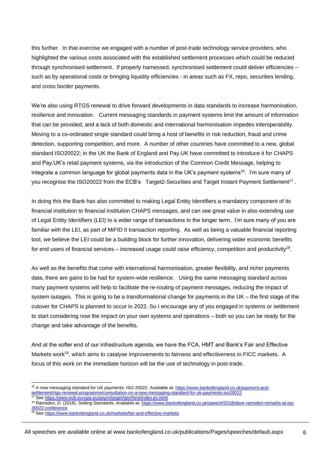this further. In that exercise we engaged with a number of post-trade technology service providers, who highlighted the various costs associated with the established settlement processes which could be reduced through synchronised settlement. If properly harnessed, synchronised settlement could deliver efficiencies – such as by operational costs or bringing liquidity efficiencies - in areas such as FX, repo, securities lending, and cross border payments.

We're also using RTGS renewal to drive forward developments in data standards to increase harmonisation, resilience and innovation. Current messaging standards in payment systems limit the amount of information that can be provided, and a lack of both domestic and international harmonisation impedes interoperability. Moving to a co-ordinated single standard could bring a host of benefits in risk reduction, fraud and crime detection, supporting competition, and more. A number of other countries have committed to a new, global standard ISO20022; in the UK the Bank of England and Pay.UK have committed to introduce it for CHAPS and Pay.UK's retail payment systems, via the introduction of the Common Credit Message, helping to integrate a common language for global payments data in the UK's payment systems $^{\mathsf{16}}$ . I'm sure many of you recognise the ISO20022 from the ECB's Target2-Securities and Target Instant Payment Settlement<sup>17</sup>.

In doing this the Bank has also committed to making Legal Entity Identifiers a mandatory component of its financial institution to financial institution CHAPS messages, and can see great value in also extending use of Legal Entity Identifiers (LEI) to a wider range of transactions in the longer term. I'm sure many of you are familiar with the LEI, as part of MiFID II transaction reporting. As well as being a valuable financial reporting tool, we believe the LEI could be a building block for further innovation, delivering wider economic benefits for end users of financial services – increased usage could raise efficiency, competition and productivity<sup>18</sup>.

As well as the benefits that come with international harmonisation, greater flexibility, and richer payments data, there are gains to be had for system-wide resilience. Using the same messaging standard across many payment systems will help to facilitate the re-routing of payment messages, reducing the impact of system outages. This is going to be a transformational change for payments in the UK – the first stage of the cutover for CHAPS is planned to occur in 2022. So I encourage any of you engaged in systems or settlement to start considering now the impact on your own systems and operations – both so you can be ready for the change and take advantage of the benefits.

And at the softer end of our infrastructure agenda, we have the FCA, HMT and Bank's Fair and Effective Markets work<sup>19</sup>, which aims to catalyse improvements to fairness and effectiveness in FICC markets. A focus of this work on the immediate horizon will be the use of technology in post-trade.

l

<sup>&</sup>lt;sup>16</sup> A new messaging standard for UK payments: ISO 20022. Available at[: https://www.bankofengland.co.uk/payment-and](https://www.bankofengland.co.uk/payment-and-settlement/rtgs-renewal-programme/consultation-on-a-new-messaging-standard-for-uk-payments-iso20022)[settlement/rtgs-renewal-programme/consultation-on-a-new-messaging-standard-for-uk-payments-iso20022](https://www.bankofengland.co.uk/payment-and-settlement/rtgs-renewal-programme/consultation-on-a-new-messaging-standard-for-uk-payments-iso20022)

<sup>&</sup>lt;sup>17</sup> See<https://www.ecb.europa.eu/paym/target/tips/html/index.en.html>

<sup>18</sup> Ramsden, D. (2018). Setting Standards. Available at: [https://www.bankofengland.co.uk/speech/2018/dave-ramsden-remarks-at-iso-](https://www.bankofengland.co.uk/speech/2018/dave-ramsden-remarks-at-iso-20022-conference)[20022-conference](https://www.bankofengland.co.uk/speech/2018/dave-ramsden-remarks-at-iso-20022-conference)

<sup>&</sup>lt;sup>19</sup> See<https://www.bankofengland.co.uk/markets/fair-and-effective-markets>